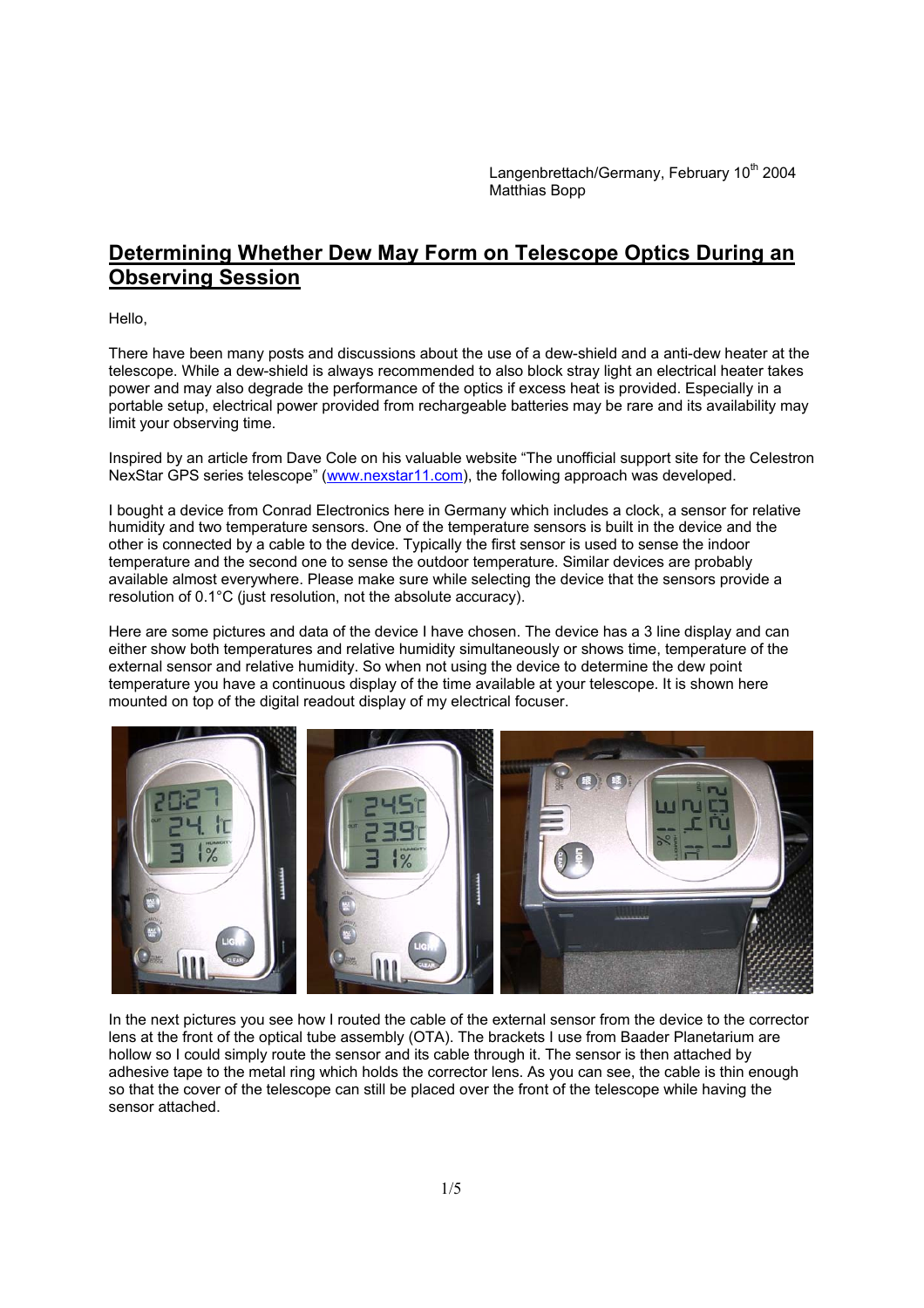Langenbrettach/Germany, February 10<sup>th</sup> 2004 Matthias Bopp

## **Determining Whether Dew May Form on Telescope Optics During an Observing Session**

Hello,

There have been many posts and discussions about the use of a dew-shield and a anti-dew heater at the telescope. While a dew-shield is always recommended to also block stray light an electrical heater takes power and may also degrade the performance of the optics if excess heat is provided. Especially in a portable setup, electrical power provided from rechargeable batteries may be rare and its availability may limit your observing time.

Inspired by an article from Dave Cole on his valuable website "The unofficial support site for the Celestron NexStar GPS series telescope" (www.nexstar11.com), the following approach was developed.

I bought a device from Conrad Electronics here in Germany which includes a clock, a sensor for relative humidity and two temperature sensors. One of the temperature sensors is built in the device and the other is connected by a cable to the device. Typically the first sensor is used to sense the indoor temperature and the second one to sense the outdoor temperature. Similar devices are probably available almost everywhere. Please make sure while selecting the device that the sensors provide a resolution of 0.1°C (just resolution, not the absolute accuracy).

Here are some pictures and data of the device I have chosen. The device has a 3 line display and can either show both temperatures and relative humidity simultaneously or shows time, temperature of the external sensor and relative humidity. So when not using the device to determine the dew point temperature you have a continuous display of the time available at your telescope. It is shown here mounted on top of the digital readout display of my electrical focuser.



In the next pictures you see how I routed the cable of the external sensor from the device to the corrector lens at the front of the optical tube assembly (OTA). The brackets I use from Baader Planetarium are hollow so I could simply route the sensor and its cable through it. The sensor is then attached by adhesive tape to the metal ring which holds the corrector lens. As you can see, the cable is thin enough so that the cover of the telescope can still be placed over the front of the telescope while having the sensor attached.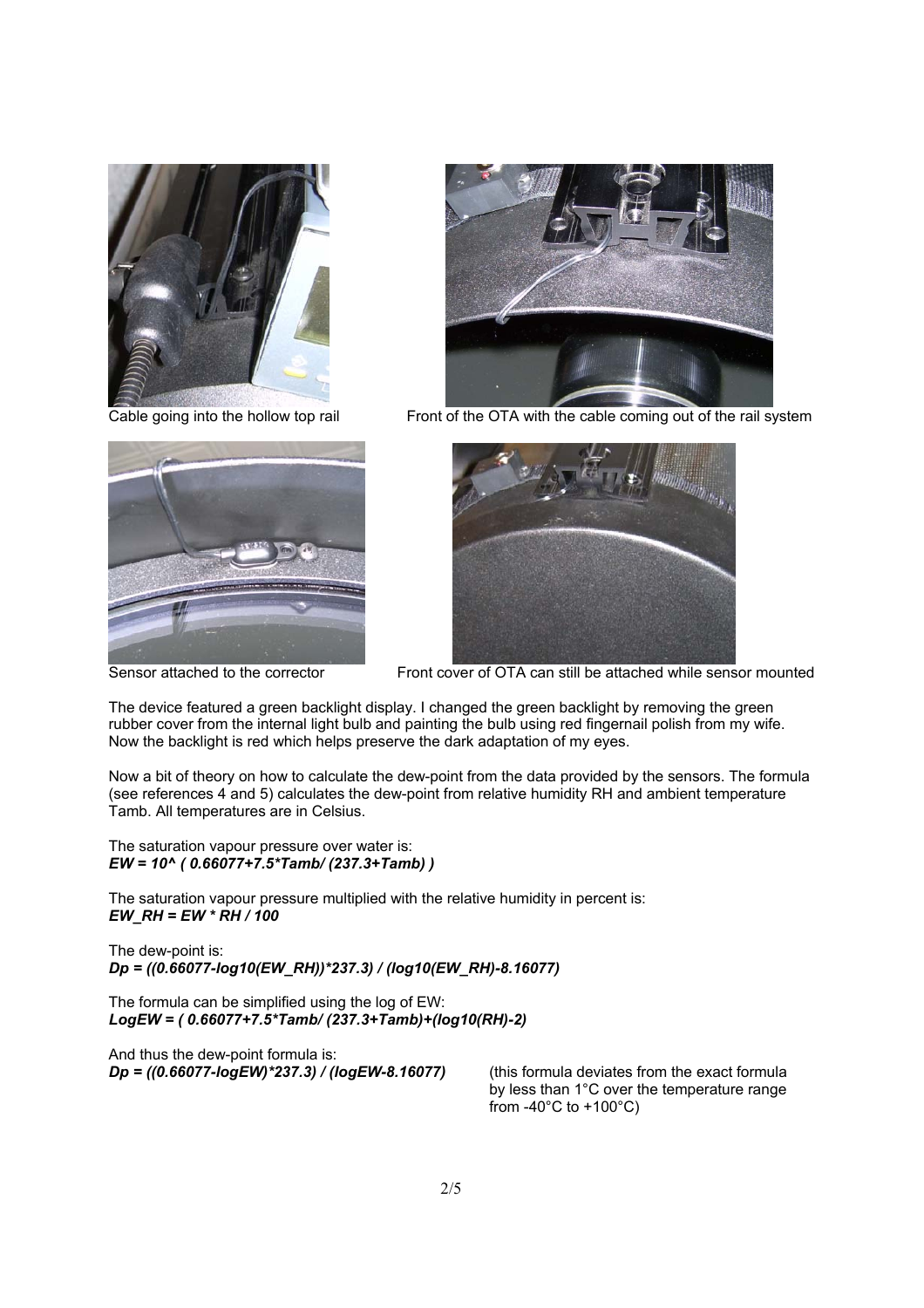





Cable going into the hollow top rail Front of the OTA with the cable coming out of the rail system



Sensor attached to the corrector Front cover of OTA can still be attached while sensor mounted

The device featured a green backlight display. I changed the green backlight by removing the green rubber cover from the internal light bulb and painting the bulb using red fingernail polish from my wife. Now the backlight is red which helps preserve the dark adaptation of my eyes.

Now a bit of theory on how to calculate the dew-point from the data provided by the sensors. The formula (see references 4 and 5) calculates the dew-point from relative humidity RH and ambient temperature Tamb. All temperatures are in Celsius.

The saturation vapour pressure over water is: *EW = 10^ ( 0.66077+7.5\*Tamb/ (237.3+Tamb) )* 

The saturation vapour pressure multiplied with the relative humidity in percent is: *EW\_RH = EW \* RH / 100* 

The dew-point is: *Dp = ((0.66077-log10(EW\_RH))\*237.3) / (log10(EW\_RH)-8.16077)* 

The formula can be simplified using the log of EW: *LogEW = ( 0.66077+7.5\*Tamb/ (237.3+Tamb)+(log10(RH)-2)* 

And thus the dew-point formula is: *Dp = ((0.66077-logEW)\*237.3) / (logEW-8.16077)* (this formula deviates from the exact formula

by less than 1°C over the temperature range from -40 $^{\circ}$ C to +100 $^{\circ}$ C)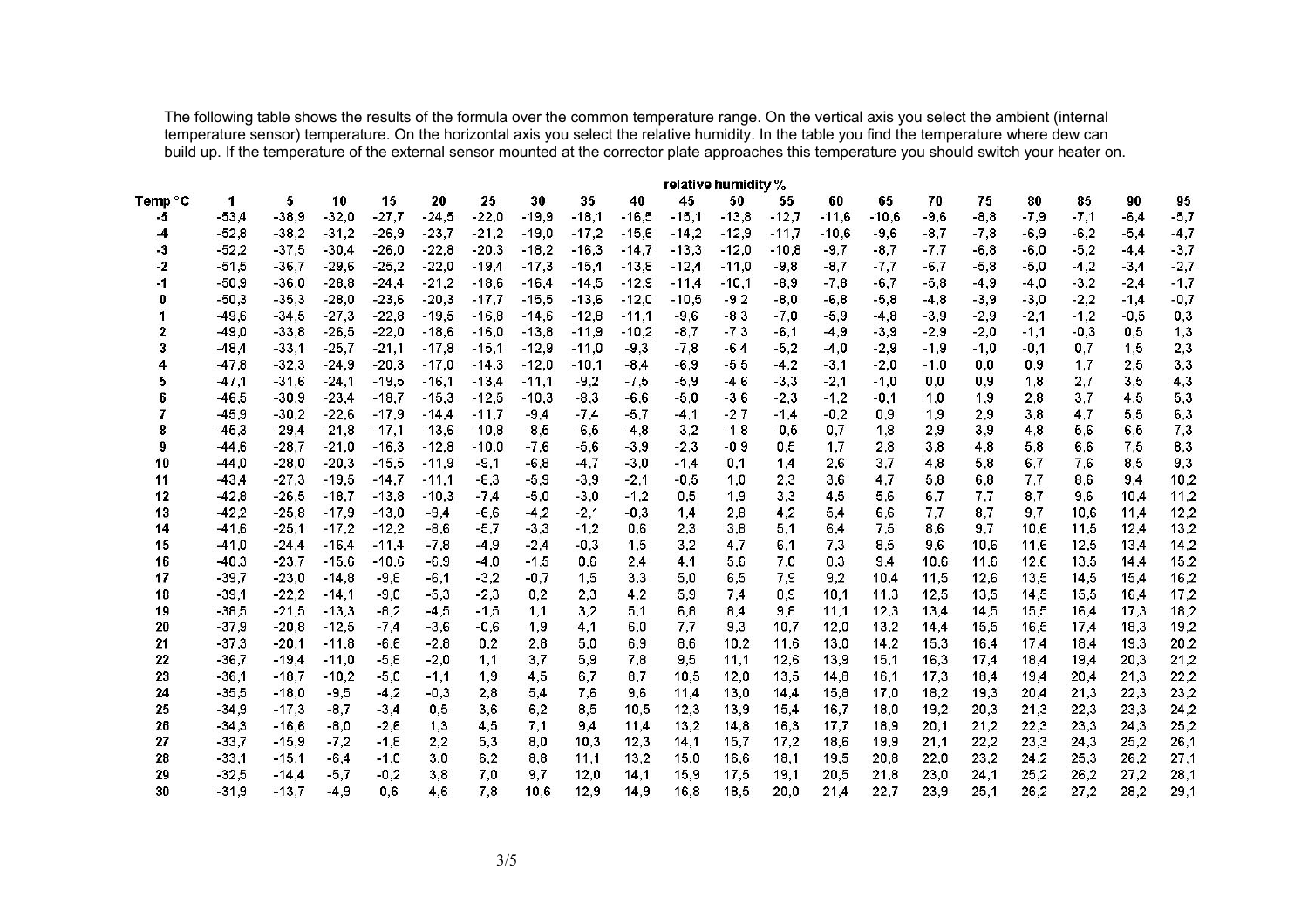The following table shows the results of the formula over the common temperature range. On the vertical axis you select the ambient (internal temperature sensor) temperature. On the horizontal axis you select the relative humidity. In the table you find the temperature where dew can build up. If the temperature of the external sensor mounted at the corrector plate approaches this temperature you should switch your heater on.

| Temp °C                  | relative humidity % |         |         |         |         |         |         |         |         |         |         |         |         |         |        |        |        |        |        |        |
|--------------------------|---------------------|---------|---------|---------|---------|---------|---------|---------|---------|---------|---------|---------|---------|---------|--------|--------|--------|--------|--------|--------|
|                          | 1                   | 5       | 10      | 15      | 20      | 25      | 30      | 35      | 40      | 45      | 50      | 55      | 60      | 65      | 70     | 75     | 80     | 85     | 90     | 95     |
| -5                       | $-53.4$             | $-38,9$ | $-32,0$ | $-27,7$ | $-24,5$ | $-22,0$ | $-19,9$ | $-18.1$ | $-16.5$ | $-15,1$ | $-13,8$ | $-12,7$ | $-11,6$ | $-10.6$ | $-9,6$ | $-8,8$ | $-7,9$ | $-7,1$ | $-6,4$ | $-5,7$ |
| -4                       | $-52,8$             | $-38,2$ | $-31,2$ | $-26,9$ | $-23,7$ | $-21,2$ | $-19,0$ | $-17,2$ | $-15,6$ | $-14.2$ | $-12,9$ | $-11,7$ | $-10,6$ | $-9,6$  | $-8,7$ | $-7,8$ | $-6,9$ | $-6,2$ | $-5,4$ | $-4,7$ |
| -3                       | $-52,2$             | $-37,5$ | $-30,4$ | $-26,0$ | $-22,8$ | $-20.3$ | $-18.2$ | $-16,3$ | $-14,7$ | $-13,3$ | $-12.0$ | $-10,8$ | $-9,7$  | $-8,7$  | -7,7   | $-6,8$ | $-6,0$ | $-5,2$ | $-4,4$ | $-3,7$ |
| -2                       | $-51,5$             | $-36,7$ | $-29,6$ | $-25,2$ | $-22,0$ | $-19,4$ | $-17,3$ | $-15,4$ | $-13,8$ | $-12,4$ | $-11,0$ | $-9,8$  | $-8,7$  | -7,7    | $-6,7$ | $-5,8$ | $-5,0$ | $-4,2$ | $-3,4$ | $-2,7$ |
| -1                       | $-50,9$             | $-36,0$ | $-28,8$ | $-24.4$ | $-21,2$ | $-18,6$ | $-16,4$ | $-14,5$ | $-12,9$ | $-11,4$ | $-10,1$ | $-8,9$  | $-7,8$  | $-6,7$  | $-5,8$ | $-4,9$ | $-4,0$ | $-3,2$ | $-2,4$ | $-1,7$ |
| 0                        | $-50,3$             | $-35.3$ | $-28,0$ | $-23.6$ | $-20.3$ | $-17.7$ | $-15.5$ | $-13,6$ | $-12.0$ | $-10.5$ | $-9,2$  | $-8,0$  | $-6,8$  | $-5,8$  | $-4,8$ | $-3,9$ | $-3,0$ | $-2,2$ | $-1.4$ | $-0,7$ |
| 1                        | $-49,6$             | $-34,5$ | $-27,3$ | $-22,8$ | $-19.5$ | $-16.8$ | $-14.6$ | $-12,8$ | $-11,1$ | $-9,6$  | $-8,3$  | $-7.0$  | $-5.9$  | $-4,8$  | $-3.9$ | $-2,9$ | $-2,1$ | $-1,2$ | $-0.5$ | 0,3    |
| $\mathbf{2}$             | $-49,0$             | $-33,8$ | $-26,5$ | $-22,0$ | $-18.6$ | $-16.0$ | $-13,8$ | $-11.9$ | $-10.2$ | $-8.7$  | $-7.3$  | $-6.1$  | $-4.9$  | $-3.9$  | $-2.9$ | $-2.0$ | $-1.1$ | $-0.3$ | 0.5    | 1,3    |
| 3                        | $-48,4$             | $-33,1$ | $-25,7$ | $-21,1$ | $-17,8$ | $-15,1$ | $-12.9$ | $-11,0$ | $-9,3$  | $-7,8$  | $-6,4$  | $-5,2$  | $-4,0$  | $-2,9$  | $-1.9$ | $-1.0$ | $-0.1$ | 0,7    | 1,5    | 2,3    |
| 4                        | $-47,8$             | $-32,3$ | $-24,9$ | $-20,3$ | $-17,0$ | $-14,3$ | $-12,0$ | $-10.1$ | $-8,4$  | $-6,9$  | $-5,5$  | $-4,2$  | $-3,1$  | $-2,0$  | $-1,0$ | 0,0    | 0,9    | 1,7    | 2,5    | 3,3    |
| 5                        | $-47,1$             | $-31,6$ | $-24,1$ | $-19,5$ | $-16,1$ | $-13,4$ | $-11,1$ | $-9,2$  | $-7,5$  | $-5,9$  | $-4,6$  | $-3,3$  | $-2,1$  | $-1,0$  | 0,0    | 0,9    | 1,8    | 2,7    | 3,5    | 4,3    |
| 6                        | $-46,5$             | $-30,9$ | $-23,4$ | $-18,7$ | $-15,3$ | $-12,5$ | $-10,3$ | $-8,3$  | $-6,6$  | $-5,0$  | $-3,6$  | $-2,3$  | $-1,2$  | $-0,1$  | 1,0    | 1,9    | 2,8    | 3,7    | 4,5    | 5,3    |
| $\overline{\phantom{a}}$ | $-45,9$             | $-30,2$ | $-22,6$ | $-17,9$ | $-14.4$ | $-11,7$ | $-9,4$  | $-7,4$  | $-5,7$  | $-4,1$  | $-2,7$  | $-1.4$  | $-0,2$  | 0,9     | 1,9    | 2,9    | 3,8    | 4,7    | 5,5    | 6,3    |
| 8                        | $-45,3$             | $-29,4$ | $-21,8$ | $-17,1$ | $-13,6$ | $-10.8$ | $-8,5$  | $-6,5$  | $-4,8$  | $-3,2$  | $-1,8$  | $-0,5$  | 0,7     | 1,8     | 2,9    | 3,9    | 4,8    | 5,6    | 6,5    | 7,3    |
| 9                        | $-44,6$             | $-28,7$ | $-21,0$ | $-16,3$ | $-12,8$ | $-10,0$ | $-7,6$  | $-5,6$  | $-3,9$  | $-2,3$  | $-0,9$  | 0,5     | 1,7     | 2,8     | 3,8    | 4,8    | 5,8    | 6,6    | 7,5    | 8,3    |
| 10                       | $-44,0$             | $-28,0$ | $-20,3$ | $-15,5$ | $-11,9$ | $-9,1$  | $-6,8$  | $-4,7$  | $-3,0$  | $-1.4$  | 0,1     | 1,4     | 2,6     | 3,7     | 4,8    | 5,8    | 6,7    | 7,6    | 8,5    | 9,3    |
| 11                       | $-43,4$             | $-27,3$ | $-19,5$ | $-14,7$ | $-11,1$ | $-8,3$  | $-5,9$  | $-3,9$  | $-2,1$  | $-0,5$  | 1,0     | 2,3     | 3,6     | 4,7     | 5,8    | 6,8    | 7,7    | 8,6    | 9,4    | 10,2   |
| 12                       | $-42,8$             | $-26,5$ | $-18,7$ | $-13,8$ | $-10,3$ | $-7,4$  | $-5,0$  | $-3,0$  | $-1,2$  | 0,5     | 1,9     | 3,3     | 4,5     | 5.6     | 6,7    | 7,7    | 8,7    | 9,6    | 10,4   | 11,2   |
| 13                       | $-42,2$             | $-25.8$ | $-17,9$ | $-13,0$ | $-9,4$  | $-6,6$  | $-4,2$  | $-2,1$  | $-0.3$  | 1,4     | 2,8     | 4,2     | 5.4     | 6,6     | 7,7    | 8,7    | 9,7    | 10,6   | 11,4   | 12,2   |
| 14                       | $-41,6$             | $-25,1$ | $-17,2$ | $-12,2$ | $-8,6$  | $-5,7$  | $-3,3$  | $-1,2$  | 0,6     | 2,3     | 3,8     | 5,1     | 6,4     | 7,5     | 8,6    | 9,7    | 10,6   | 11,5   | 12,4   | 13,2   |
| 15                       | $-41,0$             | $-24.4$ | $-16,4$ | $-11,4$ | $-7,8$  | $-4,9$  | $-2,4$  | $-0,3$  | 1,5     | 3,2     | 4,7     | 6,1     | 7,3     | 8,5     | 9,6    | 10.6   | 11,6   | 12,5   | 13,4   | 14,2   |
| 16                       | $-40,3$             | $-23,7$ | $-15,6$ | $-10,6$ | $-6,9$  | $-4,0$  | $-1,5$  | 0,6     | 2,4     | 4,1     | 5,6     | 7,0     | 8,3     | 9,4     | 10,6   | 11,6   | 12,6   | 13,5   | 14,4   | 15,2   |
| 17                       | $-39,7$             | $-23,0$ | $-14,8$ | $-9,8$  | $-6,1$  | $-3,2$  | $-0,7$  | 1,5     | 3,3     | 5,0     | 6,5     | 7,9     | 9,2     | 10,4    | 11,5   | 12,6   | 13,5   | 14,5   | 15,4   | 16,2   |
| 18                       | $-39,1$             | $-22,2$ | $-14,1$ | $-9,0$  | $-5,3$  | $-2,3$  | 0,2     | 2,3     | 4,2     | 5,9     | 7,4     | 8,9     | 10,1    | 11,3    | 12,5   | 13,5   | 14,5   | 15,5   | 16,4   | 17,2   |
| 19                       | $-38,5$             | $-21,5$ | $-13,3$ | $-8,2$  | $-4,5$  | $-1,5$  | 1,1     | 3,2     | 5,1     | 6,8     | 8,4     | 9,8     | 11,1    | 12,3    | 13,4   | 14,5   | 15,5   | 16,4   | 17,3   | 18,2   |
| 20                       | $-37,9$             | $-20,8$ | $-12,5$ | $-7,4$  | $-3,6$  | $-0,6$  | 1,9     | 4,1     | 6,0     | 7,7     | 9,3     | 10,7    | 12,0    | 13,2    | 14,4   | 15,5   | 16,5   | 17,4   | 18,3   | 19,2   |
| 21                       | $-37,3$             | $-20,1$ | $-11,8$ | $-6,6$  | $-2,8$  | 0,2     | 2,8     | 5,0     | 6,9     | 8,6     | 10,2    | 11,6    | 13,0    | 14,2    | 15,3   | 16,4   | 17,4   | 18,4   | 19,3   | 20,2   |
| 22                       | $-36,7$             | $-19,4$ | $-11,0$ | $-5,8$  | $-2,0$  | 1,1     | 3,7     | 5,9     | 7,8     | 9,5     | 11,1    | 12,6    | 13,9    | 15,1    | 16,3   | 17,4   | 18,4   | 19,4   | 20,3   | 21,2   |
| 23                       | $-36,1$             | $-18,7$ | $-10,2$ | $-5,0$  | $-1,1$  | 1,9     | 4,5     | 6,7     | 8,7     | 10,5    | 12,0    | 13,5    | 14,8    | 16,1    | 17,3   | 18,4   | 19,4   | 20,4   | 21,3   | 22,2   |
| 24                       | $-35,5$             | $-18,0$ | $-9,5$  | $-4,2$  | $-0,3$  | 2,8     | 5,4     | 7,6     | 9,6     | 11,4    | 13,0    | 14,4    | 15,8    | 17,0    | 18,2   | 19,3   | 20,4   | 21,3   | 22,3   | 23,2   |
| 25                       | $-34,9$             | $-17,3$ | $-8.7$  | $-3.4$  | 0,5     | 3.6     | 6.2     | 8.5     | 10.5    | 12,3    | 13.9    | 15,4    | 16,7    | 18.0    | 19.2   | 20,3   | 21,3   | 22,3   | 23,3   | 24,2   |
| 26                       | $-34.3$             | $-16,6$ | $-8,0$  | $-2,6$  | 1,3     | 4,5     | 7,1     | 9,4     | 11.4    | 13,2    | 14,8    | 16,3    | 17,7    | 18,9    | 20,1   | 21,2   | 22,3   | 23,3   | 24,3   | 25,2   |
| 27                       | $-33,7$             | $-15.9$ | $-7,2$  | $-1,8$  | 2,2     | 5,3     | 8,0     | 10.3    | 12,3    | 14.1    | 15.7    | 17.2    | 18,6    | 19,9    | 21,1   | 22,2   | 23,3   | 24,3   | 25,2   | 26,1   |
| 28                       | $-33,1$             | $-15,1$ | $-6,4$  | $-1,0$  | 3,0     | 6,2     | 8.8     | 11,1    | 13,2    | 15.0    | 16.6    | 18,1    | 19,5    | 20,8    | 22,0   | 23,2   | 24,2   | 25,3   | 26,2   | 27,1   |
| 29                       | $-32,5$             | $-14.4$ | $-5,7$  | $-0,2$  | 3,8     | 7,0     | 9,7     | 12,0    | 14,1    | 15,9    | 17,5    | 19,1    | 20,5    | 21,8    | 23,0   | 24,1   | 25,2   | 26,2   | 27,2   | 28,1   |
| 30                       | $-31,9$             | $-13,7$ | $-4,9$  | 0.6     | 4.6     | 7.8     | 10.6    | 12,9    | 14.9    | 16.8    | 18.5    | 20.0    | 21.4    | 22,7    | 23,9   | 25,1   | 26,2   | 27,2   | 28,2   | 29,1   |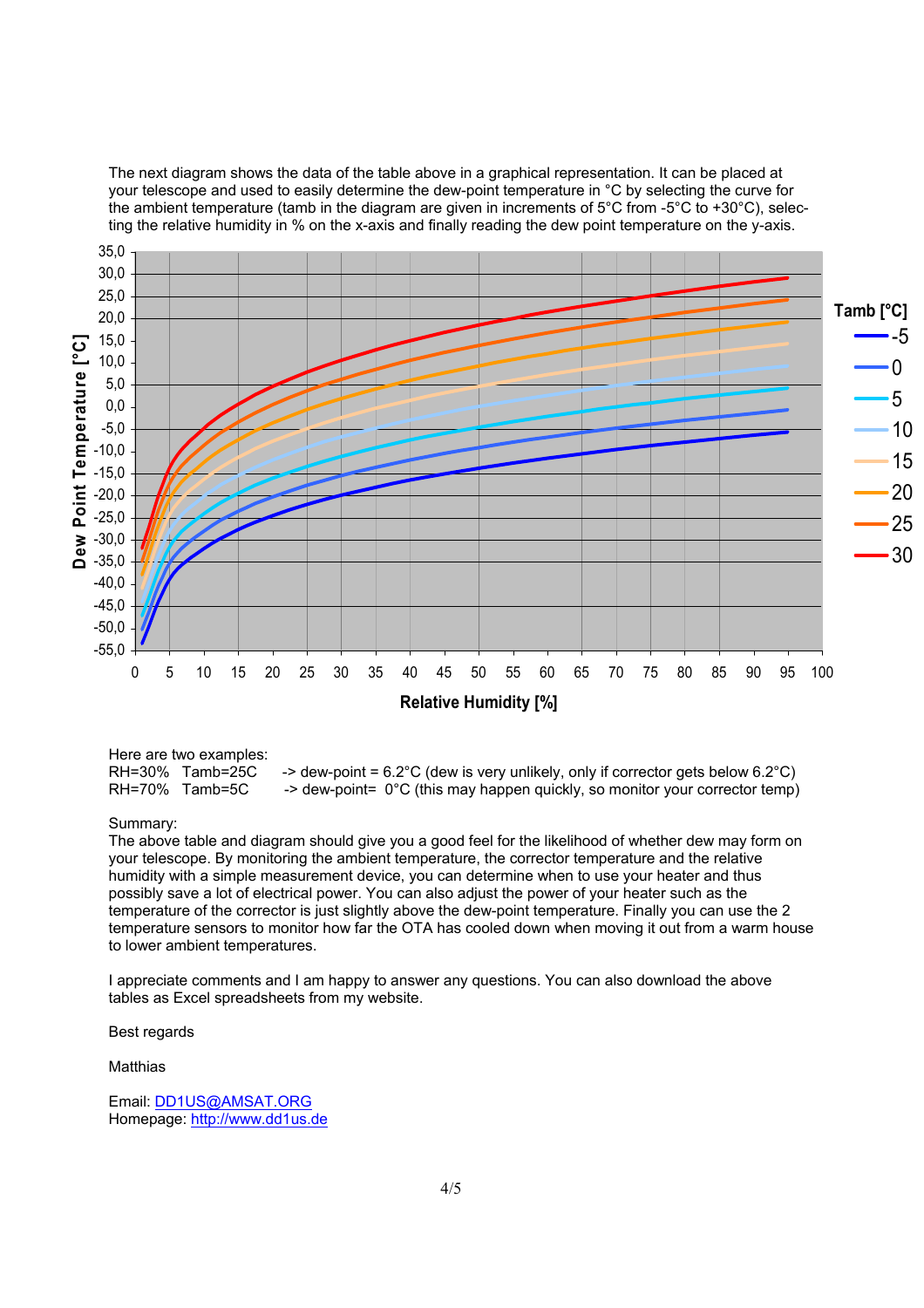The next diagram shows the data of the table above in a graphical representation. It can be placed at your telescope and used to easily determine the dew-point temperature in °C by selecting the curve for the ambient temperature (tamb in the diagram are given in increments of 5°C from -5°C to +30°C), selecting the relative humidity in % on the x-axis and finally reading the dew point temperature on the y-axis.



Here are two examples: RH=30% Tamb=25C -> dew-point =  $6.2^{\circ}$ C (dew is very unlikely, only if corrector gets below  $6.2^{\circ}$ C)<br>RH=70% Tamb=5C -> dew-point= 0°C (this may happen quickly, so monitor your corrector temp)  $\Rightarrow$  dew-point= 0°C (this may happen quickly, so monitor your corrector temp)

Summary:

The above table and diagram should give you a good feel for the likelihood of whether dew may form on your telescope. By monitoring the ambient temperature, the corrector temperature and the relative humidity with a simple measurement device, you can determine when to use your heater and thus possibly save a lot of electrical power. You can also adjust the power of your heater such as the temperature of the corrector is just slightly above the dew-point temperature. Finally you can use the 2 temperature sensors to monitor how far the OTA has cooled down when moving it out from a warm house to lower ambient temperatures.

I appreciate comments and I am happy to answer any questions. You can also download the above tables as Excel spreadsheets from my website.

Best regards

**Matthias** 

Email: DD1US@AMSAT.ORG Homepage: http://www.dd1us.de